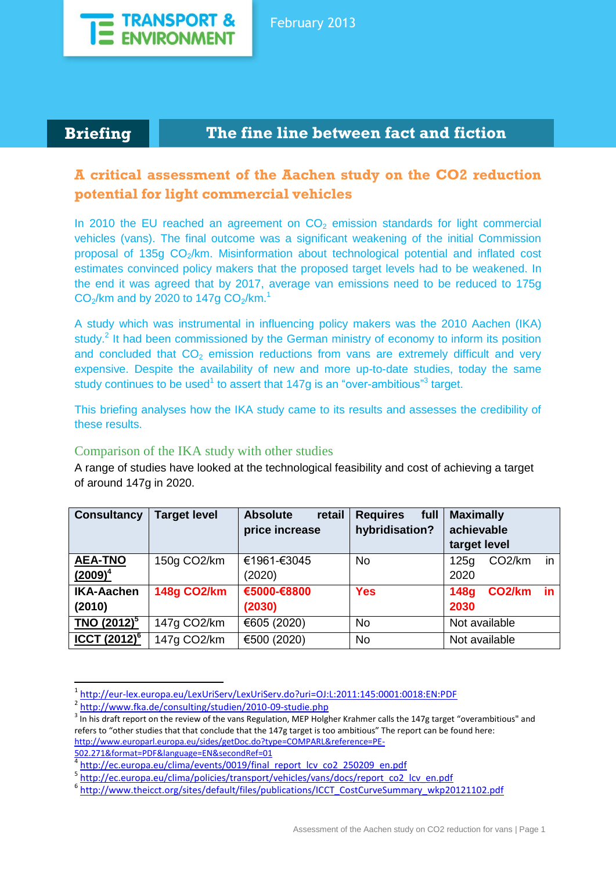

## **Briefing The fine line between fact and fiction**

# **A critical assessment of the Aachen study on the CO2 reduction potential for light commercial vehicles**

In 2010 the EU reached an agreement on  $CO<sub>2</sub>$  emission standards for light commercial vehicles (vans). The final outcome was a significant weakening of the initial Commission proposal of 135g  $CO<sub>2</sub>/km$ . Misinformation about technological potential and inflated cost estimates convinced policy makers that the proposed target levels had to be weakened. In the end it was agreed that by 2017, average van emissions need to be reduced to 175g  $CO<sub>2</sub>/km$  and by 2020 to 147g  $CO<sub>2</sub>/km.<sup>1</sup>$ 

A study which was instrumental in influencing policy makers was the 2010 Aachen (IKA) study.<sup>2</sup> It had been commissioned by the German ministry of economy to inform its position and concluded that  $CO<sub>2</sub>$  emission reductions from vans are extremely difficult and very expensive. Despite the availability of new and more up-to-date studies, today the same study continues to be used<sup>1</sup> to assert that 147g is an "over-ambitious"<sup>3</sup> target.

This briefing analyses how the IKA study came to its results and assesses the credibility of these results.

#### Comparison of the IKA study with other studies

A range of studies have looked at the technological feasibility and cost of achieving a target of around 147g in 2020.

| <b>Consultancy</b>                | <b>Target level</b> | retail<br><b>Absolute</b> | <b>Requires</b><br>full | <b>Maximally</b>                          |  |
|-----------------------------------|---------------------|---------------------------|-------------------------|-------------------------------------------|--|
|                                   |                     | price increase            | hybridisation?          | achievable                                |  |
|                                   |                     |                           |                         | target level                              |  |
| <b>AEA-TNO</b>                    | 150g CO2/km         | €1961-€3045               | <b>No</b>               | in<br>CO <sub>2</sub> /km<br>125g         |  |
| $(2009)^4$                        |                     | (2020)                    |                         | 2020                                      |  |
| <b>IKA-Aachen</b>                 | <b>148g CO2/km</b>  | €5000-€8800               | <b>Yes</b>              | CO <sub>2</sub> /km<br>in.<br><b>148g</b> |  |
| (2010)                            |                     | (2030)                    |                         | 2030                                      |  |
| <b>TNO (2012)</b> <sup>5</sup>    | 147g CO2/km         | €605 (2020)               | <b>No</b>               | Not available                             |  |
| <b>ICCT <math>(2012)^6</math></b> | 147g CO2/km         | €500 (2020)               | <b>No</b>               | Not available                             |  |

<sup>1</sup> <http://eur-lex.europa.eu/LexUriServ/LexUriServ.do?uri=OJ:L:2011:145:0001:0018:EN:PDF>

1

<sup>&</sup>lt;sup>2</sup> <http://www.fka.de/consulting/studien/2010-09-studie.php>

 $3$  In his draft report on the review of the vans Regulation, MEP Holgher Krahmer calls the 147g target "overambitious" and refers to "other studies that that conclude that the 147g target is too ambitious" The report can be found here: [http://www.europarl.europa.eu/sides/getDoc.do?type=COMPARL&reference=PE-](http://www.europarl.europa.eu/sides/getDoc.do?type=COMPARL&reference=PE-502.271&format=PDF&language=EN&secondRef=01)[502.271&format=PDF&language=EN&secondRef=01](http://www.europarl.europa.eu/sides/getDoc.do?type=COMPARL&reference=PE-502.271&format=PDF&language=EN&secondRef=01)

<sup>&</sup>lt;sup>4</sup> [http://ec.europa.eu/clima/events/0019/final\\_report\\_lcv\\_co2\\_250209\\_en.pdf](http://ec.europa.eu/clima/events/0019/final_report_lcv_co2_250209_en.pdf)

<sup>&</sup>lt;sup>5</sup> [http://ec.europa.eu/clima/policies/transport/vehicles/vans/docs/report\\_co2\\_lcv\\_en.pdf](http://ec.europa.eu/clima/policies/transport/vehicles/vans/docs/report_co2_lcv_en.pdf)

<sup>6</sup> [http://www.theicct.org/sites/default/files/publications/ICCT\\_CostCurveSummary\\_wkp20121102.pdf](http://www.theicct.org/sites/default/files/publications/ICCT_CostCurveSummary_wkp20121102.pdf)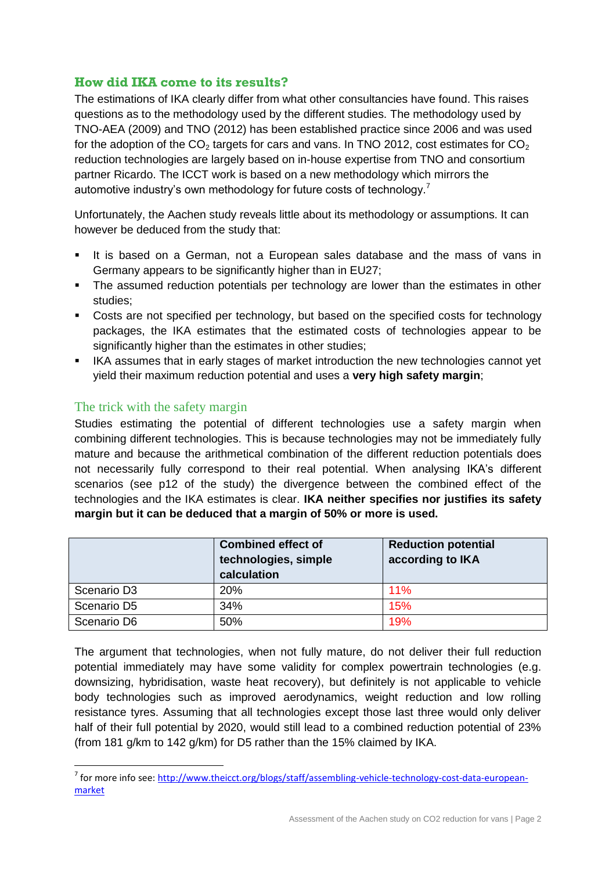### **How did IKA come to its results?**

The estimations of IKA clearly differ from what other consultancies have found. This raises questions as to the methodology used by the different studies. The methodology used by TNO-AEA (2009) and TNO (2012) has been established practice since 2006 and was used for the adoption of the CO<sub>2</sub> targets for cars and vans. In TNO 2012, cost estimates for CO<sub>2</sub> reduction technologies are largely based on in-house expertise from TNO and consortium partner Ricardo. The ICCT work is based on a new methodology which mirrors the automotive industry's own methodology for future costs of technology.<sup>7</sup>

Unfortunately, the Aachen study reveals little about its methodology or assumptions. It can however be deduced from the study that:

- It is based on a German, not a European sales database and the mass of vans in Germany appears to be significantly higher than in EU27;
- The assumed reduction potentials per technology are lower than the estimates in other studies;
- Costs are not specified per technology, but based on the specified costs for technology packages, the IKA estimates that the estimated costs of technologies appear to be significantly higher than the estimates in other studies;
- **IKA assumes that in early stages of market introduction the new technologies cannot yet** yield their maximum reduction potential and uses a **very high safety margin**;

#### The trick with the safety margin

**.** 

Studies estimating the potential of different technologies use a safety margin when combining different technologies. This is because technologies may not be immediately fully mature and because the arithmetical combination of the different reduction potentials does not necessarily fully correspond to their real potential. When analysing IKA's different scenarios (see p12 of the study) the divergence between the combined effect of the technologies and the IKA estimates is clear. **IKA neither specifies nor justifies its safety margin but it can be deduced that a margin of 50% or more is used.**

|                         | <b>Combined effect of</b><br>technologies, simple<br>calculation | <b>Reduction potential</b><br>according to IKA |
|-------------------------|------------------------------------------------------------------|------------------------------------------------|
| Scenario D <sub>3</sub> | <b>20%</b>                                                       | 11%                                            |
| Scenario D5             | 34%                                                              | 15%                                            |
| Scenario D6             | 50%                                                              | 19%                                            |

The argument that technologies, when not fully mature, do not deliver their full reduction potential immediately may have some validity for complex powertrain technologies (e.g. downsizing, hybridisation, waste heat recovery), but definitely is not applicable to vehicle body technologies such as improved aerodynamics, weight reduction and low rolling resistance tyres. Assuming that all technologies except those last three would only deliver half of their full potential by 2020, would still lead to a combined reduction potential of 23% (from 181 g/km to 142 g/km) for D5 rather than the 15% claimed by IKA.

<sup>&</sup>lt;sup>7</sup> for more info see[: http://www.theicct.org/blogs/staff/assembling-vehicle-technology-cost-data-european](http://www.theicct.org/blogs/staff/assembling-vehicle-technology-cost-data-european-market)[market](http://www.theicct.org/blogs/staff/assembling-vehicle-technology-cost-data-european-market)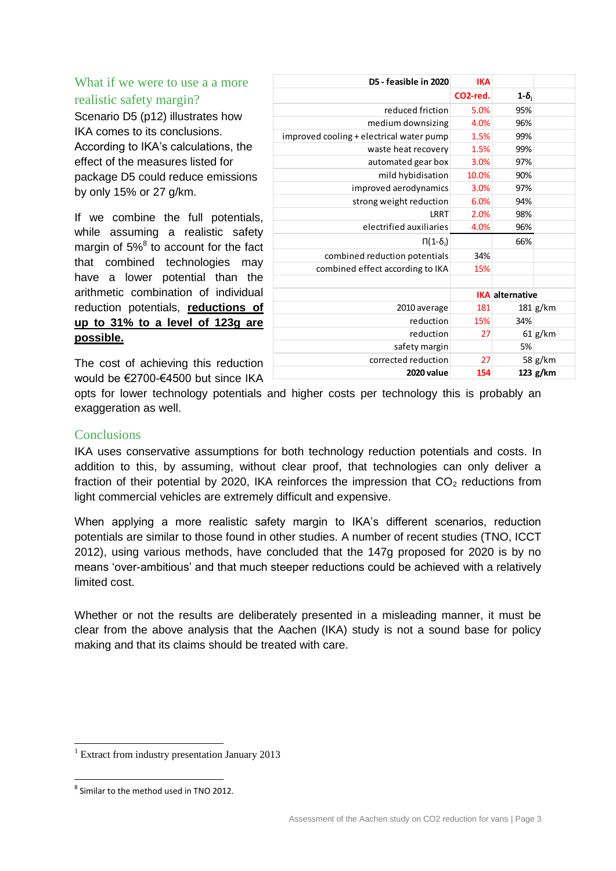What if we were to use a a more realistic safety margin?

Scenario D5 (p12) illustrates how IKA comes to its conclusions. According to IKA's calculations, the effect of the measures listed for package D5 could reduce emissions by only 15% or 27 g/km.

If we combine the full potentials, while assuming a realistic safety margin of 5%<sup>8</sup> to account for the fact that combined technologies may have a lower potential than the arithmetic combination of individual reduction potentials, **reductions of up to 31% to a level of 123g are possible.**

| D5 - feasible in 2020                    | <b>IKA</b>            |                        |            |
|------------------------------------------|-----------------------|------------------------|------------|
|                                          | CO <sub>2-red</sub> . | $1-\delta_i$           |            |
| reduced friction                         | 5.0%                  | 95%                    |            |
| medium downsizing                        | 4.0%                  | 96%                    |            |
| improved cooling + electrical water pump | 1.5%                  | 99%                    |            |
| waste heat recovery                      | 1.5%                  | 99%                    |            |
| automated gear box                       | 3.0%                  | 97%                    |            |
| mild hybidisation                        | 10.0%                 | 90%                    |            |
| improved aerodynamics                    | 3.0%                  | 97%                    |            |
| strong weight reduction                  | 6.0%                  | 94%                    |            |
| LRRT                                     | 2.0%                  | 98%                    |            |
| electrified auxiliaries                  | 4.0%                  | 96%                    |            |
| $\Pi(1-\delta_i)$                        |                       | 66%                    |            |
| combined reduction potentials            | 34%                   |                        |            |
| combined effect according to IKA         | 15%                   |                        |            |
|                                          |                       |                        |            |
|                                          |                       | <b>IKA</b> alternative |            |
| 2010 average                             | 181                   |                        | $181$ g/km |
| reduction                                | 15%                   | 34%                    |            |
| reduction                                | 27                    |                        | $61$ g/km  |
| safety margin                            |                       | 5%                     |            |
| corrected reduction                      | 27                    |                        | 58 g/km    |
| 2020 value                               | 154                   |                        | $123$ g/km |

The cost of achieving this reduction would be €2700-€4500 but since IKA

opts for lower technology potentials and higher costs per technology this is probably an exaggeration as well.

#### **Conclusions**

IKA uses conservative assumptions for both technology reduction potentials and costs. In addition to this, by assuming, without clear proof, that technologies can only deliver a fraction of their potential by 2020, IKA reinforces the impression that  $CO<sub>2</sub>$  reductions from light commercial vehicles are extremely difficult and expensive.

When applying a more realistic safety margin to IKA's different scenarios, reduction potentials are similar to those found in other studies. A number of recent studies (TNO, ICCT 2012), using various methods, have concluded that the 147g proposed for 2020 is by no means 'over-ambitious' and that much steeper reductions could be achieved with a relatively limited cost.

Whether or not the results are deliberately presented in a misleading manner, it must be clear from the above analysis that the Aachen (IKA) study is not a sound base for policy making and that its claims should be treated with care.

**.** 

 $1$  Extract from industry presentation January 2013

**<sup>.</sup>** <sup>8</sup> Similar to the method used in TNO 2012.